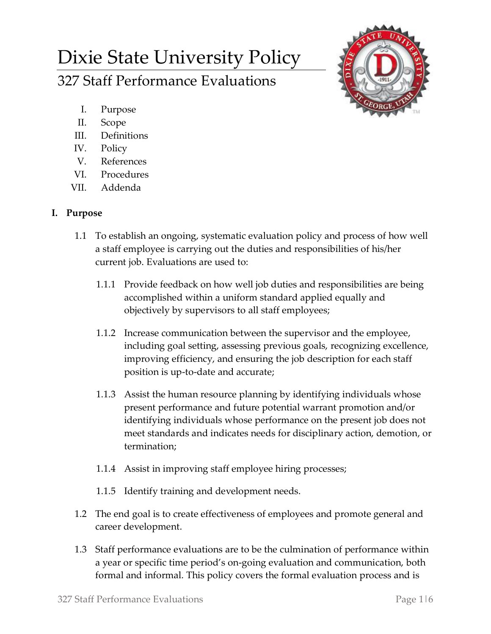# Dixie State University Policy

327 Staff Performance Evaluations

- I. Purpose
- II. Scope
- III. Definitions
- IV. Policy
- V. References
- VI. Procedures
- VII. Addenda

# **I. Purpose**

- 1.1 To establish an ongoing, systematic evaluation policy and process of how well a staff employee is carrying out the duties and responsibilities of his/her current job. Evaluations are used to:
	- 1.1.1 Provide feedback on how well job duties and responsibilities are being accomplished within a uniform standard applied equally and objectively by supervisors to all staff employees;
	- 1.1.2 Increase communication between the supervisor and the employee, including goal setting, assessing previous goals, recognizing excellence, improving efficiency, and ensuring the job description for each staff position is up-to-date and accurate;
	- 1.1.3 Assist the human resource planning by identifying individuals whose present performance and future potential warrant promotion and/or identifying individuals whose performance on the present job does not meet standards and indicates needs for disciplinary action, demotion, or termination;
	- 1.1.4 Assist in improving staff employee hiring processes;
	- 1.1.5 Identify training and development needs.
- 1.2 The end goal is to create effectiveness of employees and promote general and career development.
- 1.3 Staff performance evaluations are to be the culmination of performance within a year or specific time period's on-going evaluation and communication, both formal and informal. This policy covers the formal evaluation process and is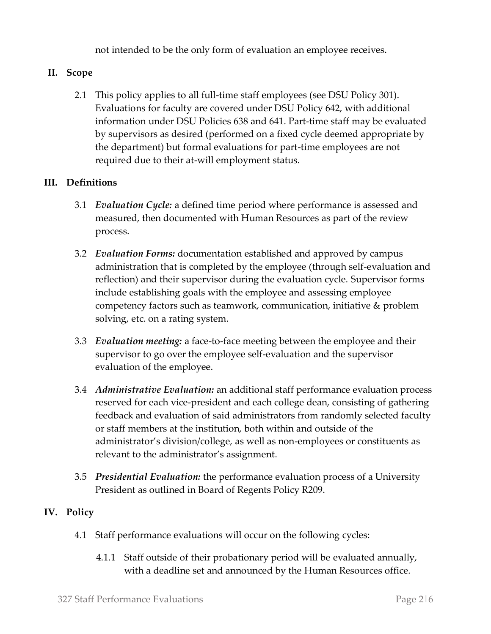not intended to be the only form of evaluation an employee receives.

# **II. Scope**

2.1 This policy applies to all full-time staff employees (see DSU Policy 301). Evaluations for faculty are covered under DSU Policy 642, with additional information under DSU Policies 638 and 641. Part-time staff may be evaluated by supervisors as desired (performed on a fixed cycle deemed appropriate by the department) but formal evaluations for part-time employees are not required due to their at-will employment status.

## **III. Definitions**

- 3.1 *Evaluation Cycle:* a defined time period where performance is assessed and measured, then documented with Human Resources as part of the review process.
- 3.2 *Evaluation Forms:* documentation established and approved by campus administration that is completed by the employee (through self-evaluation and reflection) and their supervisor during the evaluation cycle. Supervisor forms include establishing goals with the employee and assessing employee competency factors such as teamwork, communication, initiative & problem solving, etc. on a rating system.
- 3.3 *Evaluation meeting:* a face-to-face meeting between the employee and their supervisor to go over the employee self-evaluation and the supervisor evaluation of the employee.
- 3.4 *Administrative Evaluation:* an additional staff performance evaluation process reserved for each vice-president and each college dean, consisting of gathering feedback and evaluation of said administrators from randomly selected faculty or staff members at the institution, both within and outside of the administrator's division/college, as well as non-employees or constituents as relevant to the administrator's assignment.
- 3.5 *Presidential Evaluation:* the performance evaluation process of a University President as outlined in Board of Regents Policy R209.

# **IV. Policy**

- 4.1 Staff performance evaluations will occur on the following cycles:
	- 4.1.1 Staff outside of their probationary period will be evaluated annually, with a deadline set and announced by the Human Resources office.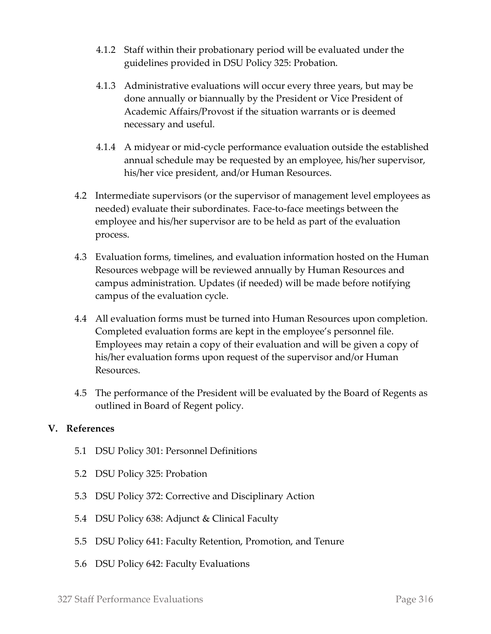- 4.1.2 Staff within their probationary period will be evaluated under the guidelines provided in DSU Policy 325: Probation.
- 4.1.3 Administrative evaluations will occur every three years, but may be done annually or biannually by the President or Vice President of Academic Affairs/Provost if the situation warrants or is deemed necessary and useful.
- 4.1.4 A midyear or mid-cycle performance evaluation outside the established annual schedule may be requested by an employee, his/her supervisor, his/her vice president, and/or Human Resources.
- 4.2 Intermediate supervisors (or the supervisor of management level employees as needed) evaluate their subordinates. Face-to-face meetings between the employee and his/her supervisor are to be held as part of the evaluation process.
- 4.3 Evaluation forms, timelines, and evaluation information hosted on the Human Resources webpage will be reviewed annually by Human Resources and campus administration. Updates (if needed) will be made before notifying campus of the evaluation cycle.
- 4.4 All evaluation forms must be turned into Human Resources upon completion. Completed evaluation forms are kept in the employee's personnel file. Employees may retain a copy of their evaluation and will be given a copy of his/her evaluation forms upon request of the supervisor and/or Human Resources.
- 4.5 The performance of the President will be evaluated by the Board of Regents as outlined in Board of Regent policy.

#### **V. References**

- 5.1 DSU Policy 301: Personnel Definitions
- 5.2 DSU Policy 325: Probation
- 5.3 DSU Policy 372: Corrective and Disciplinary Action
- 5.4 DSU Policy 638: Adjunct & Clinical Faculty
- 5.5 DSU Policy 641: Faculty Retention, Promotion, and Tenure
- 5.6 DSU Policy 642: Faculty Evaluations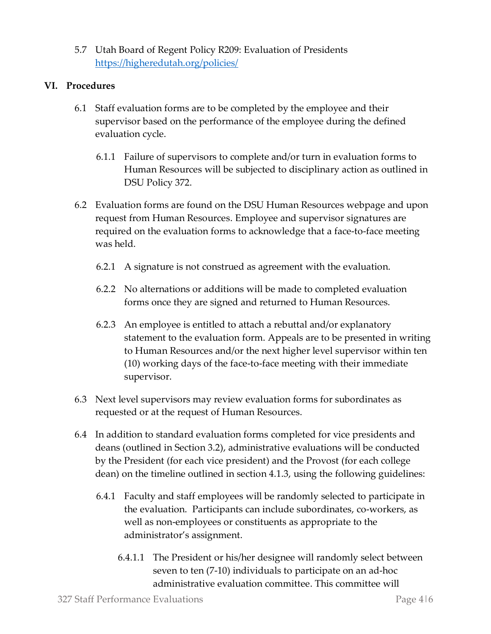5.7 Utah Board of Regent Policy R209: Evaluation of Presidents <https://higheredutah.org/policies/>

#### **VI. Procedures**

- 6.1 Staff evaluation forms are to be completed by the employee and their supervisor based on the performance of the employee during the defined evaluation cycle.
	- 6.1.1 Failure of supervisors to complete and/or turn in evaluation forms to Human Resources will be subjected to disciplinary action as outlined in DSU Policy 372.
- 6.2 Evaluation forms are found on the DSU Human Resources webpage and upon request from Human Resources. Employee and supervisor signatures are required on the evaluation forms to acknowledge that a face-to-face meeting was held.
	- 6.2.1 A signature is not construed as agreement with the evaluation.
	- 6.2.2 No alternations or additions will be made to completed evaluation forms once they are signed and returned to Human Resources.
	- 6.2.3 An employee is entitled to attach a rebuttal and/or explanatory statement to the evaluation form. Appeals are to be presented in writing to Human Resources and/or the next higher level supervisor within ten (10) working days of the face-to-face meeting with their immediate supervisor.
- 6.3 Next level supervisors may review evaluation forms for subordinates as requested or at the request of Human Resources.
- 6.4 In addition to standard evaluation forms completed for vice presidents and deans (outlined in Section 3.2), administrative evaluations will be conducted by the President (for each vice president) and the Provost (for each college dean) on the timeline outlined in section 4.1.3, using the following guidelines:
	- 6.4.1 Faculty and staff employees will be randomly selected to participate in the evaluation. Participants can include subordinates, co-workers, as well as non-employees or constituents as appropriate to the administrator's assignment.
		- 6.4.1.1 The President or his/her designee will randomly select between seven to ten (7-10) individuals to participate on an ad-hoc administrative evaluation committee. This committee will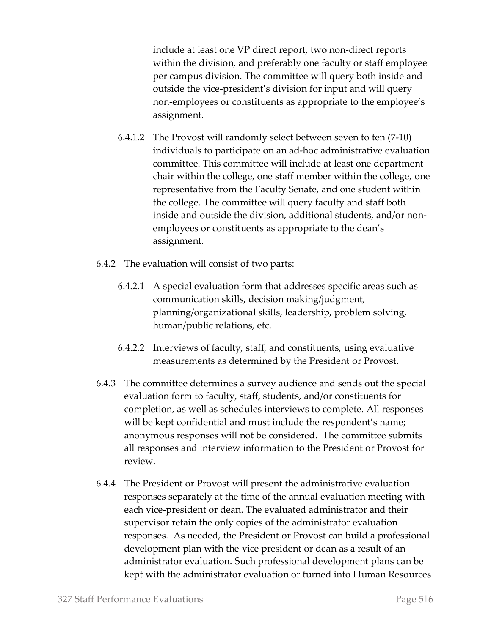include at least one VP direct report, two non-direct reports within the division, and preferably one faculty or staff employee per campus division. The committee will query both inside and outside the vice-president's division for input and will query non-employees or constituents as appropriate to the employee's assignment.

- 6.4.1.2 The Provost will randomly select between seven to ten (7-10) individuals to participate on an ad-hoc administrative evaluation committee. This committee will include at least one department chair within the college, one staff member within the college, one representative from the Faculty Senate, and one student within the college. The committee will query faculty and staff both inside and outside the division, additional students, and/or nonemployees or constituents as appropriate to the dean's assignment.
- 6.4.2 The evaluation will consist of two parts:
	- 6.4.2.1 A special evaluation form that addresses specific areas such as communication skills, decision making/judgment, planning/organizational skills, leadership, problem solving, human/public relations, etc.
	- 6.4.2.2 Interviews of faculty, staff, and constituents, using evaluative measurements as determined by the President or Provost.
- 6.4.3 The committee determines a survey audience and sends out the special evaluation form to faculty, staff, students, and/or constituents for completion, as well as schedules interviews to complete. All responses will be kept confidential and must include the respondent's name; anonymous responses will not be considered. The committee submits all responses and interview information to the President or Provost for review.
- 6.4.4 The President or Provost will present the administrative evaluation responses separately at the time of the annual evaluation meeting with each vice-president or dean. The evaluated administrator and their supervisor retain the only copies of the administrator evaluation responses. As needed, the President or Provost can build a professional development plan with the vice president or dean as a result of an administrator evaluation. Such professional development plans can be kept with the administrator evaluation or turned into Human Resources